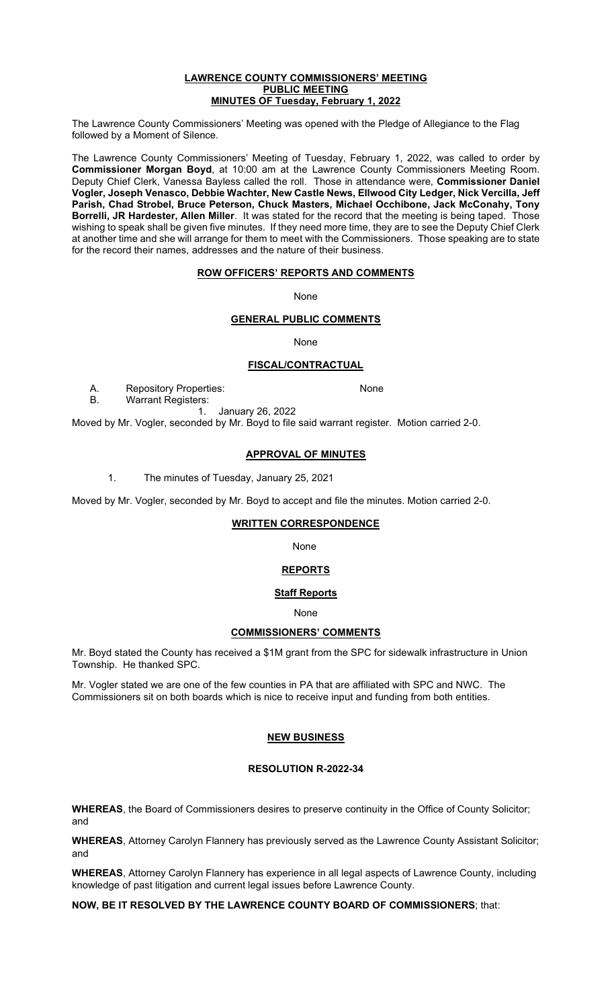#### **LAWRENCE COUNTY COMMISSIONERS' MEETING PUBLIC MEETING MINUTES OF Tuesday, February 1, 2022**

The Lawrence County Commissioners' Meeting was opened with the Pledge of Allegiance to the Flag followed by a Moment of Silence.

The Lawrence County Commissioners' Meeting of Tuesday, February 1, 2022, was called to order by **Commissioner Morgan Boyd**, at 10:00 am at the Lawrence County Commissioners Meeting Room. Deputy Chief Clerk, Vanessa Bayless called the roll. Those in attendance were, **Commissioner Daniel Vogler, Joseph Venasco, Debbie Wachter, New Castle News, Ellwood City Ledger, Nick Vercilla, Jeff Parish, Chad Strobel, Bruce Peterson, Chuck Masters, Michael Occhibone, Jack McConahy, Tony Borrelli, JR Hardester, Allen Miller**.It was stated for the record that the meeting is being taped. Those wishing to speak shall be given five minutes. If they need more time, they are to see the Deputy Chief Clerk at another time and she will arrange for them to meet with the Commissioners. Those speaking are to state for the record their names, addresses and the nature of their business.

## **ROW OFFICERS' REPORTS AND COMMENTS**

None

## **GENERAL PUBLIC COMMENTS**

None

#### **FISCAL/CONTRACTUAL**

A. Repository Properties: None

B. Warrant Registers:

1. January 26, 2022

Moved by Mr. Vogler, seconded by Mr. Boyd to file said warrant register. Motion carried 2-0.

#### **APPROVAL OF MINUTES**

1. The minutes of Tuesday, January 25, 2021

Moved by Mr. Vogler, seconded by Mr. Boyd to accept and file the minutes. Motion carried 2-0.

## **WRITTEN CORRESPONDENCE**

None

# **REPORTS**

#### **Staff Reports**

None

# **COMMISSIONERS' COMMENTS**

Mr. Boyd stated the County has received a \$1M grant from the SPC for sidewalk infrastructure in Union Township. He thanked SPC.

Mr. Vogler stated we are one of the few counties in PA that are affiliated with SPC and NWC. The Commissioners sit on both boards which is nice to receive input and funding from both entities.

#### **NEW BUSINESS**

#### **RESOLUTION R-2022-34**

**WHEREAS**, the Board of Commissioners desires to preserve continuity in the Office of County Solicitor; and

**WHEREAS**, Attorney Carolyn Flannery has previously served as the Lawrence County Assistant Solicitor; and

**WHEREAS**, Attorney Carolyn Flannery has experience in all legal aspects of Lawrence County, including knowledge of past litigation and current legal issues before Lawrence County.

**NOW, BE IT RESOLVED BY THE LAWRENCE COUNTY BOARD OF COMMISSIONERS**; that: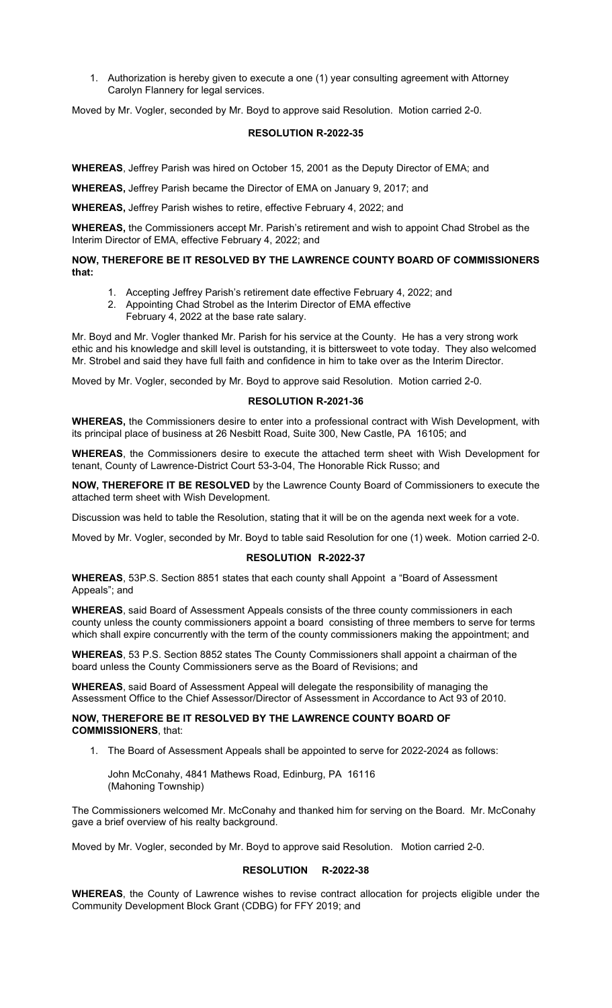1. Authorization is hereby given to execute a one (1) year consulting agreement with Attorney Carolyn Flannery for legal services.

Moved by Mr. Vogler, seconded by Mr. Boyd to approve said Resolution. Motion carried 2-0.

#### **RESOLUTION R-2022-35**

**WHEREAS**, Jeffrey Parish was hired on October 15, 2001 as the Deputy Director of EMA; and

**WHEREAS,** Jeffrey Parish became the Director of EMA on January 9, 2017; and

**WHEREAS,** Jeffrey Parish wishes to retire, effective February 4, 2022; and

**WHEREAS,** the Commissioners accept Mr. Parish's retirement and wish to appoint Chad Strobel as the Interim Director of EMA, effective February 4, 2022; and

#### **NOW, THEREFORE BE IT RESOLVED BY THE LAWRENCE COUNTY BOARD OF COMMISSIONERS that:**

- 1. Accepting Jeffrey Parish's retirement date effective February 4, 2022; and
- 2. Appointing Chad Strobel as the Interim Director of EMA effective
	- February 4, 2022 at the base rate salary.

Mr. Boyd and Mr. Vogler thanked Mr. Parish for his service at the County. He has a very strong work ethic and his knowledge and skill level is outstanding, it is bittersweet to vote today. They also welcomed Mr. Strobel and said they have full faith and confidence in him to take over as the Interim Director.

Moved by Mr. Vogler, seconded by Mr. Boyd to approve said Resolution. Motion carried 2-0.

#### **RESOLUTION R-2021-36**

**WHEREAS,** the Commissioners desire to enter into a professional contract with Wish Development, with its principal place of business at 26 Nesbitt Road, Suite 300, New Castle, PA 16105; and

**WHEREAS**, the Commissioners desire to execute the attached term sheet with Wish Development for tenant, County of Lawrence-District Court 53-3-04, The Honorable Rick Russo; and

**NOW, THEREFORE IT BE RESOLVED** by the Lawrence County Board of Commissioners to execute the attached term sheet with Wish Development.

Discussion was held to table the Resolution, stating that it will be on the agenda next week for a vote.

Moved by Mr. Vogler, seconded by Mr. Boyd to table said Resolution for one (1) week. Motion carried 2-0.

## **RESOLUTION R-2022-37**

**WHEREAS**, 53P.S. Section 8851 states that each county shall Appoint a "Board of Assessment Appeals"; and

**WHEREAS**, said Board of Assessment Appeals consists of the three county commissioners in each county unless the county commissioners appoint a board consisting of three members to serve for terms which shall expire concurrently with the term of the county commissioners making the appointment; and

**WHEREAS**, 53 P.S. Section 8852 states The County Commissioners shall appoint a chairman of the board unless the County Commissioners serve as the Board of Revisions; and

**WHEREAS**, said Board of Assessment Appeal will delegate the responsibility of managing the Assessment Office to the Chief Assessor/Director of Assessment in Accordance to Act 93 of 2010.

#### **NOW, THEREFORE BE IT RESOLVED BY THE LAWRENCE COUNTY BOARD OF COMMISSIONERS**, that:

1. The Board of Assessment Appeals shall be appointed to serve for 2022-2024 as follows:

John McConahy, 4841 Mathews Road, Edinburg, PA 16116 (Mahoning Township)

The Commissioners welcomed Mr. McConahy and thanked him for serving on the Board. Mr. McConahy gave a brief overview of his realty background.

Moved by Mr. Vogler, seconded by Mr. Boyd to approve said Resolution. Motion carried 2-0.

#### **RESOLUTION R-2022-38**

**WHEREAS**, the County of Lawrence wishes to revise contract allocation for projects eligible under the Community Development Block Grant (CDBG) for FFY 2019; and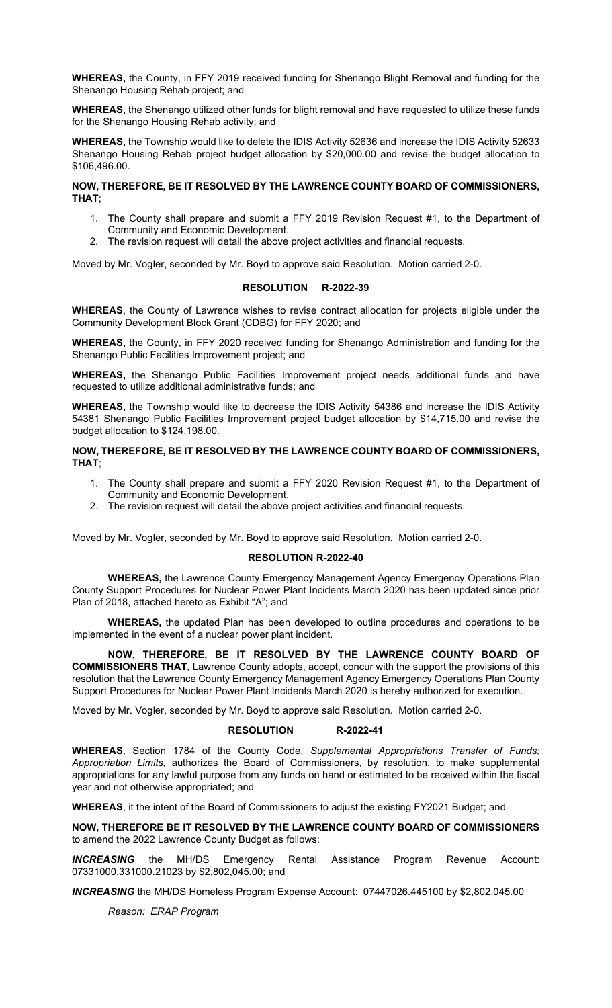**WHEREAS,** the County, in FFY 2019 received funding for Shenango Blight Removal and funding for the Shenango Housing Rehab project; and

**WHEREAS,** the Shenango utilized other funds for blight removal and have requested to utilize these funds for the Shenango Housing Rehab activity; and

**WHEREAS,** the Township would like to delete the IDIS Activity 52636 and increase the IDIS Activity 52633 Shenango Housing Rehab project budget allocation by \$20,000.00 and revise the budget allocation to \$106,496.00.

#### **NOW, THEREFORE, BE IT RESOLVED BY THE LAWRENCE COUNTY BOARD OF COMMISSIONERS, THAT**;

- 1. The County shall prepare and submit a FFY 2019 Revision Request #1, to the Department of Community and Economic Development.
- 2. The revision request will detail the above project activities and financial requests.

Moved by Mr. Vogler, seconded by Mr. Boyd to approve said Resolution. Motion carried 2-0.

## **RESOLUTION R-2022-39**

**WHEREAS**, the County of Lawrence wishes to revise contract allocation for projects eligible under the Community Development Block Grant (CDBG) for FFY 2020; and

**WHEREAS,** the County, in FFY 2020 received funding for Shenango Administration and funding for the Shenango Public Facilities Improvement project; and

**WHEREAS,** the Shenango Public Facilities Improvement project needs additional funds and have requested to utilize additional administrative funds; and

**WHEREAS,** the Township would like to decrease the IDIS Activity 54386 and increase the IDIS Activity 54381 Shenango Public Facilities Improvement project budget allocation by \$14,715.00 and revise the budget allocation to \$124,198.00.

## **NOW, THEREFORE, BE IT RESOLVED BY THE LAWRENCE COUNTY BOARD OF COMMISSIONERS, THAT**;

- 1. The County shall prepare and submit a FFY 2020 Revision Request #1, to the Department of Community and Economic Development.
- 2. The revision request will detail the above project activities and financial requests.

Moved by Mr. Vogler, seconded by Mr. Boyd to approve said Resolution. Motion carried 2-0.

# **RESOLUTION R-2022-40**

**WHEREAS,** the Lawrence County Emergency Management Agency Emergency Operations Plan County Support Procedures for Nuclear Power Plant Incidents March 2020 has been updated since prior Plan of 2018, attached hereto as Exhibit "A"; and

**WHEREAS,** the updated Plan has been developed to outline procedures and operations to be implemented in the event of a nuclear power plant incident.

**NOW, THEREFORE, BE IT RESOLVED BY THE LAWRENCE COUNTY BOARD OF COMMISSIONERS THAT,** Lawrence County adopts, accept, concur with the support the provisions of this resolution that the Lawrence County Emergency Management Agency Emergency Operations Plan County Support Procedures for Nuclear Power Plant Incidents March 2020 is hereby authorized for execution.

Moved by Mr. Vogler, seconded by Mr. Boyd to approve said Resolution. Motion carried 2-0.

#### **RESOLUTION R-2022-41**

**WHEREAS**, Section 1784 of the County Code, *Supplemental Appropriations Transfer of Funds; Appropriation Limits,* authorizes the Board of Commissioners, by resolution, to make supplemental appropriations for any lawful purpose from any funds on hand or estimated to be received within the fiscal year and not otherwise appropriated; and

**WHEREAS**, it the intent of the Board of Commissioners to adjust the existing FY2021 Budget; and

#### **NOW, THEREFORE BE IT RESOLVED BY THE LAWRENCE COUNTY BOARD OF COMMISSIONERS**  to amend the 2022 Lawrence County Budget as follows:

*INCREASING* the MH/DS Emergency Rental Assistance Program Revenue Account: 07331000.331000.21023 by \$2,802,045.00; and

*INCREASING* the MH/DS Homeless Program Expense Account: 07447026.445100 by \$2,802,045.00

*Reason: ERAP Program*